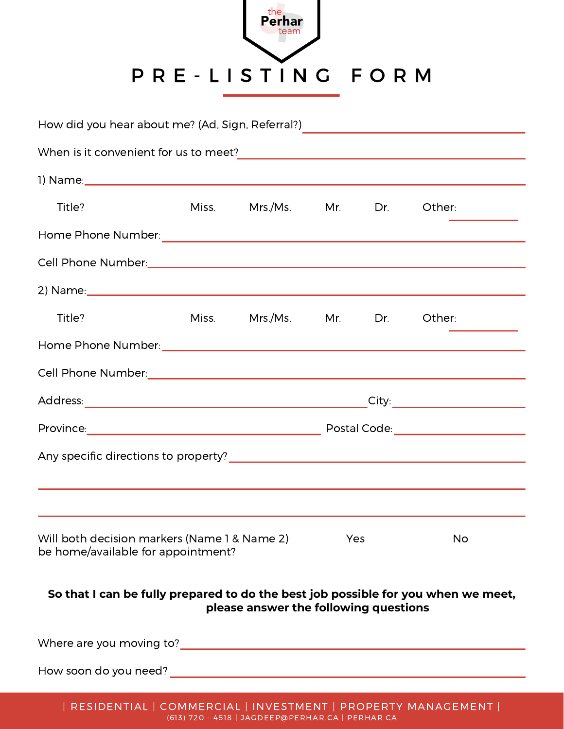

| How did you hear about me? (Ad, Sign, Referral?)                                                                           |  |                    |     |     |                                             |  |  |
|----------------------------------------------------------------------------------------------------------------------------|--|--------------------|-----|-----|---------------------------------------------|--|--|
|                                                                                                                            |  |                    |     |     |                                             |  |  |
|                                                                                                                            |  |                    |     |     |                                             |  |  |
| Title?                                                                                                                     |  | Miss. Mrs./Ms. Mr. |     | Dr. | Other:                                      |  |  |
|                                                                                                                            |  |                    |     |     |                                             |  |  |
|                                                                                                                            |  |                    |     |     |                                             |  |  |
|                                                                                                                            |  |                    |     |     |                                             |  |  |
| Title?                                                                                                                     |  | Miss. Mrs./Ms. Mr. |     | Dr. | Other:                                      |  |  |
|                                                                                                                            |  |                    |     |     |                                             |  |  |
| Cell Phone Number: National Collection of the Number of Tennis and Tennis and Tennis and Tennis and Tennis and             |  |                    |     |     |                                             |  |  |
|                                                                                                                            |  |                    |     |     |                                             |  |  |
|                                                                                                                            |  |                    |     |     | Postal Code: National Assembly Postal Code: |  |  |
|                                                                                                                            |  |                    |     |     |                                             |  |  |
|                                                                                                                            |  |                    |     |     |                                             |  |  |
| Will both decision markers (Name 1 & Name 2)<br>be home/available for appointment?                                         |  |                    | Yes |     | <b>No</b>                                   |  |  |
| So that I can be fully prepared to do the best job possible for you when we meet,<br>please answer the following questions |  |                    |     |     |                                             |  |  |

Where are you moving to? Manual Assembly and the set of the set of the set of the set of the set of the set of the set of the set of the set of the set of the set of the set of the set of the set of the set of the set of t

How soon do you need?